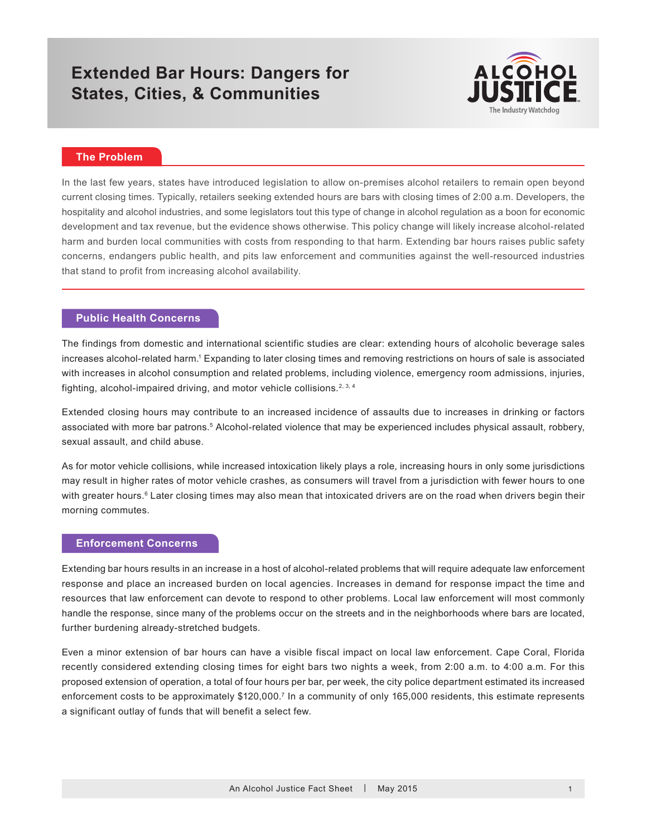# **Extended Bar Hours: Dangers for States, Cities, & Communities**



# **The Problem**

In the last few years, states have introduced legislation to allow on-premises alcohol retailers to remain open beyond current closing times. Typically, retailers seeking extended hours are bars with closing times of 2:00 a.m. Developers, the hospitality and alcohol industries, and some legislators tout this type of change in alcohol regulation as a boon for economic development and tax revenue, but the evidence shows otherwise. This policy change will likely increase alcohol-related harm and burden local communities with costs from responding to that harm. Extending bar hours raises public safety concerns, endangers public health, and pits law enforcement and communities against the well-resourced industries that stand to profit from increasing alcohol availability.

#### **Public Health Concerns**

The findings from domestic and international scientific studies are clear: extending hours of alcoholic beverage sales increases alcohol-related harm.<sup>1</sup> Expanding to later closing times and removing restrictions on hours of sale is associated with increases in alcohol consumption and related problems, including violence, emergency room admissions, injuries, fighting, alcohol-impaired driving, and motor vehicle collisions.<sup>2, 3, 4</sup>

Extended closing hours may contribute to an increased incidence of assaults due to increases in drinking or factors associated with more bar patrons.<sup>5</sup> Alcohol-related violence that may be experienced includes physical assault, robbery, sexual assault, and child abuse.

As for motor vehicle collisions, while increased intoxication likely plays a role, increasing hours in only some jurisdictions may result in higher rates of motor vehicle crashes, as consumers will travel from a jurisdiction with fewer hours to one with greater hours.<sup>6</sup> Later closing times may also mean that intoxicated drivers are on the road when drivers begin their morning commutes.

#### **Enforcement Concerns**

Extending bar hours results in an increase in a host of alcohol-related problems that will require adequate law enforcement response and place an increased burden on local agencies. Increases in demand for response impact the time and resources that law enforcement can devote to respond to other problems. Local law enforcement will most commonly handle the response, since many of the problems occur on the streets and in the neighborhoods where bars are located, further burdening already-stretched budgets.

Even a minor extension of bar hours can have a visible fiscal impact on local law enforcement. Cape Coral, Florida recently considered extending closing times for eight bars two nights a week, from 2:00 a.m. to 4:00 a.m. For this proposed extension of operation, a total of four hours per bar, per week, the city police department estimated its increased enforcement costs to be approximately \$120,000.<sup>7</sup> In a community of only 165,000 residents, this estimate represents a significant outlay of funds that will benefit a select few.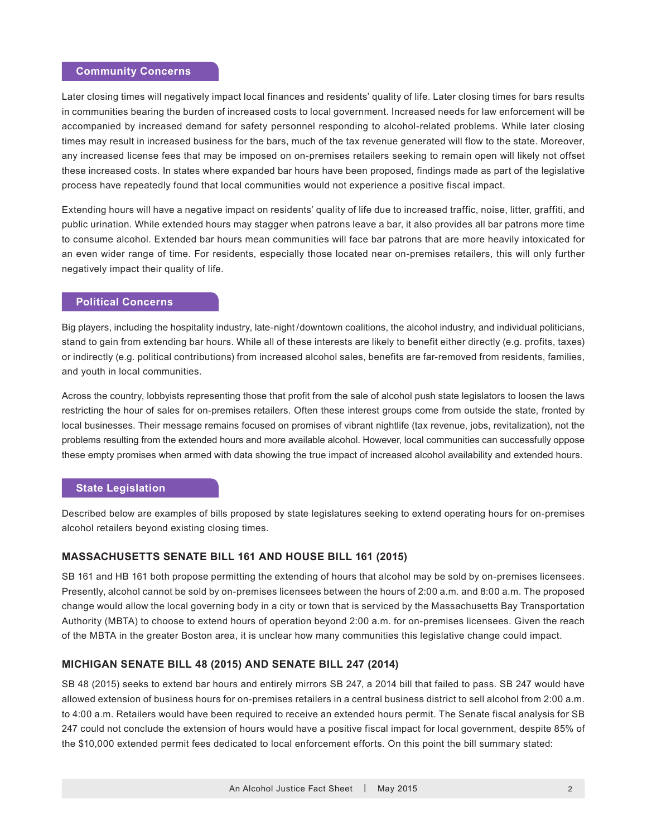#### **Community Concerns**

Later closing times will negatively impact local finances and residents' quality of life. Later closing times for bars results in communities bearing the burden of increased costs to local government. Increased needs for law enforcement will be accompanied by increased demand for safety personnel responding to alcohol-related problems. While later closing times may result in increased business for the bars, much of the tax revenue generated will flow to the state. Moreover, any increased license fees that may be imposed on on-premises retailers seeking to remain open will likely not offset these increased costs. In states where expanded bar hours have been proposed, findings made as part of the legislative process have repeatedly found that local communities would not experience a positive fiscal impact.

Extending hours will have a negative impact on residents' quality of life due to increased traffic, noise, litter, graffiti, and public urination. While extended hours may stagger when patrons leave a bar, it also provides all bar patrons more time to consume alcohol. Extended bar hours mean communities will face bar patrons that are more heavily intoxicated for an even wider range of time. For residents, especially those located near on-premises retailers, this will only further negatively impact their quality of life.

# **Political Concerns**

Big players, including the hospitality industry, late-night / downtown coalitions, the alcohol industry, and individual politicians, stand to gain from extending bar hours. While all of these interests are likely to benefit either directly (e.g. profits, taxes) or indirectly (e.g. political contributions) from increased alcohol sales, benefits are far-removed from residents, families, and youth in local communities.

Across the country, lobbyists representing those that profit from the sale of alcohol push state legislators to loosen the laws restricting the hour of sales for on-premises retailers. Often these interest groups come from outside the state, fronted by local businesses. Their message remains focused on promises of vibrant nightlife (tax revenue, jobs, revitalization), not the problems resulting from the extended hours and more available alcohol. However, local communities can successfully oppose these empty promises when armed with data showing the true impact of increased alcohol availability and extended hours.

#### **State Legislation**

Described below are examples of bills proposed by state legislatures seeking to extend operating hours for on-premises alcohol retailers beyond existing closing times.

#### **MASSACHUSETTS SENATE BILL 161 AND HOUSE BILL 161 (2015)**

SB 161 and HB 161 both propose permitting the extending of hours that alcohol may be sold by on-premises licensees. Presently, alcohol cannot be sold by on-premises licensees between the hours of 2:00 a.m. and 8:00 a.m. The proposed change would allow the local governing body in a city or town that is serviced by the Massachusetts Bay Transportation Authority (MBTA) to choose to extend hours of operation beyond 2:00 a.m. for on-premises licensees. Given the reach of the MBTA in the greater Boston area, it is unclear how many communities this legislative change could impact.

### **MICHIGAN SENATE BILL 48 (2015) AND SENATE BILL 247 (2014)**

SB 48 (2015) seeks to extend bar hours and entirely mirrors SB 247, a 2014 bill that failed to pass. SB 247 would have allowed extension of business hours for on-premises retailers in a central business district to sell alcohol from 2:00 a.m. to 4:00 a.m. Retailers would have been required to receive an extended hours permit. The Senate fiscal analysis for SB 247 could not conclude the extension of hours would have a positive fiscal impact for local government, despite 85% of the \$10,000 extended permit fees dedicated to local enforcement efforts. On this point the bill summary stated: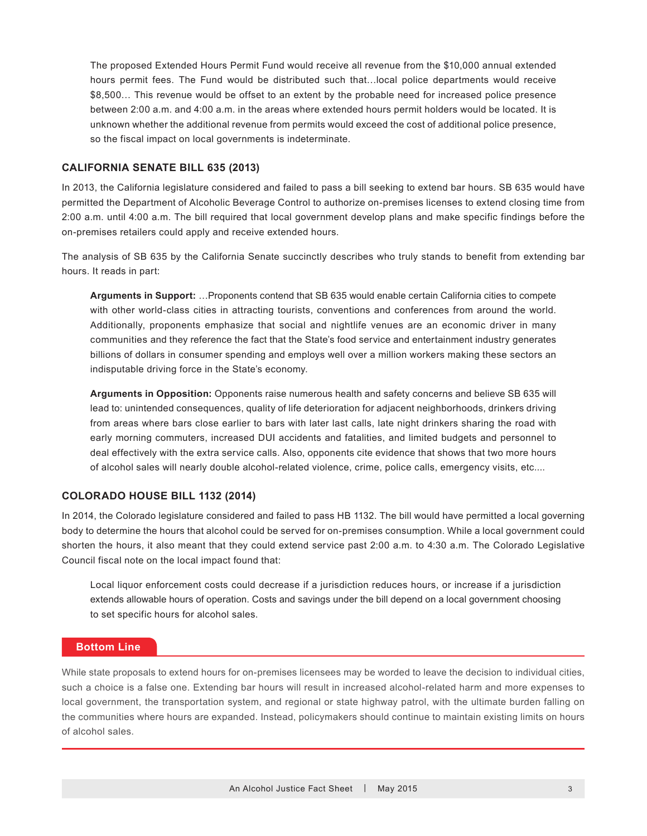The proposed Extended Hours Permit Fund would receive all revenue from the \$10,000 annual extended hours permit fees. The Fund would be distributed such that…local police departments would receive \$8,500… This revenue would be offset to an extent by the probable need for increased police presence between 2:00 a.m. and 4:00 a.m. in the areas where extended hours permit holders would be located. It is unknown whether the additional revenue from permits would exceed the cost of additional police presence, so the fiscal impact on local governments is indeterminate.

# **CALIFORNIA SENATE BILL 635 (2013)**

In 2013, the California legislature considered and failed to pass a bill seeking to extend bar hours. SB 635 would have permitted the Department of Alcoholic Beverage Control to authorize on-premises licenses to extend closing time from 2:00 a.m. until 4:00 a.m. The bill required that local government develop plans and make specific findings before the on-premises retailers could apply and receive extended hours.

The analysis of SB 635 by the California Senate succinctly describes who truly stands to benefit from extending bar hours. It reads in part:

**Arguments in Support:** …Proponents contend that SB 635 would enable certain California cities to compete with other world-class cities in attracting tourists, conventions and conferences from around the world. Additionally, proponents emphasize that social and nightlife venues are an economic driver in many communities and they reference the fact that the State's food service and entertainment industry generates billions of dollars in consumer spending and employs well over a million workers making these sectors an indisputable driving force in the State's economy.

**Arguments in Opposition:** Opponents raise numerous health and safety concerns and believe SB 635 will lead to: unintended consequences, quality of life deterioration for adjacent neighborhoods, drinkers driving from areas where bars close earlier to bars with later last calls, late night drinkers sharing the road with early morning commuters, increased DUI accidents and fatalities, and limited budgets and personnel to deal effectively with the extra service calls. Also, opponents cite evidence that shows that two more hours of alcohol sales will nearly double alcohol-related violence, crime, police calls, emergency visits, etc....

#### **COLORADO HOUSE BILL 1132 (2014)**

In 2014, the Colorado legislature considered and failed to pass HB 1132. The bill would have permitted a local governing body to determine the hours that alcohol could be served for on-premises consumption. While a local government could shorten the hours, it also meant that they could extend service past 2:00 a.m. to 4:30 a.m. The Colorado Legislative Council fiscal note on the local impact found that:

Local liquor enforcement costs could decrease if a jurisdiction reduces hours, or increase if a jurisdiction extends allowable hours of operation. Costs and savings under the bill depend on a local government choosing to set specific hours for alcohol sales.

# **Bottom Line**

While state proposals to extend hours for on-premises licensees may be worded to leave the decision to individual cities, such a choice is a false one. Extending bar hours will result in increased alcohol-related harm and more expenses to local government, the transportation system, and regional or state highway patrol, with the ultimate burden falling on the communities where hours are expanded. Instead, policymakers should continue to maintain existing limits on hours of alcohol sales.